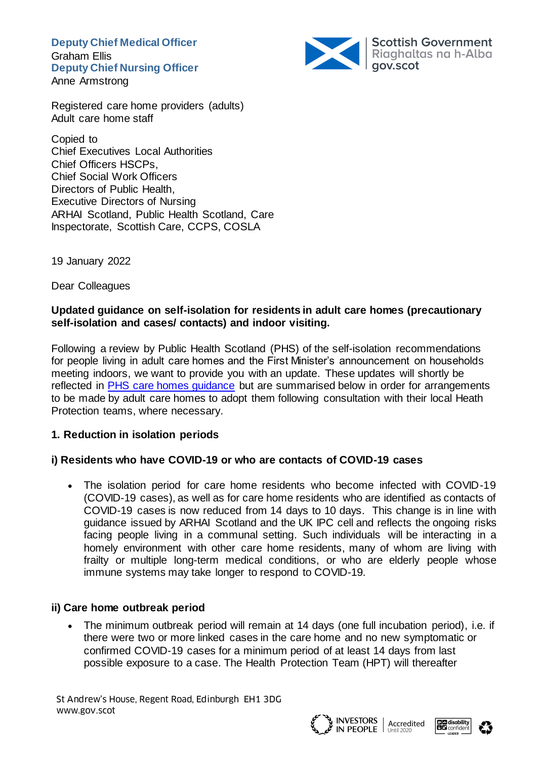**Deputy Chief Medical Officer** Graham Ellis **Deputy Chief Nursing Officer** Anne Armstrong



Registered care home providers (adults) Adult care home staff

Copied to Chief Executives Local Authorities Chief Officers HSCPs, Chief Social Work Officers Directors of Public Health, Executive Directors of Nursing ARHAI Scotland, Public Health Scotland, Care Inspectorate, Scottish Care, CCPS, COSLA

19 January 2022

Dear Colleagues

### **Updated guidance on self-isolation for residents in adult care homes (precautionary self-isolation and cases/ contacts) and indoor visiting.**

Following a review by Public Health Scotland (PHS) of the self-isolation recommendations for people living in adult care homes and the First Minister's announcement on households meeting indoors, we want to provide you with an update. These updates will shortly be reflected in [PHS care homes guidance](file:///C:/Users/mariar04.PHS/AppData/Local/Microsoft/Windows/INetCache/Content.Outlook/ZF1X2HSN/COVID-19%20-%20information%20and%20guidance%20for%20care%20home%20settings%20(adults%20and%20older%20people)) but are summarised below in order for arrangements to be made by adult care homes to adopt them following consultation with their local Heath Protection teams, where necessary.

## **1. Reduction in isolation periods**

## **i) Residents who have COVID-19 or who are contacts of COVID-19 cases**

 The isolation period for care home residents who become infected with COVID-19 (COVID-19 cases), as well as for care home residents who are identified as contacts of COVID-19 cases is now reduced from 14 days to 10 days. This change is in line with guidance issued by ARHAI Scotland and the UK IPC cell and reflects the ongoing risks facing people living in a communal setting. Such individuals will be interacting in a homely environment with other care home residents, many of whom are living with frailty or multiple long-term medical conditions, or who are elderly people whose immune systems may take longer to respond to COVID-19.

## **ii) Care home outbreak period**

 The minimum outbreak period will remain at 14 days (one full incubation period), i.e. if there were two or more linked cases in the care home and no new symptomatic or confirmed COVID-19 cases for a minimum period of at least 14 days from last possible exposure to a case. The Health Protection Team (HPT) will thereafter





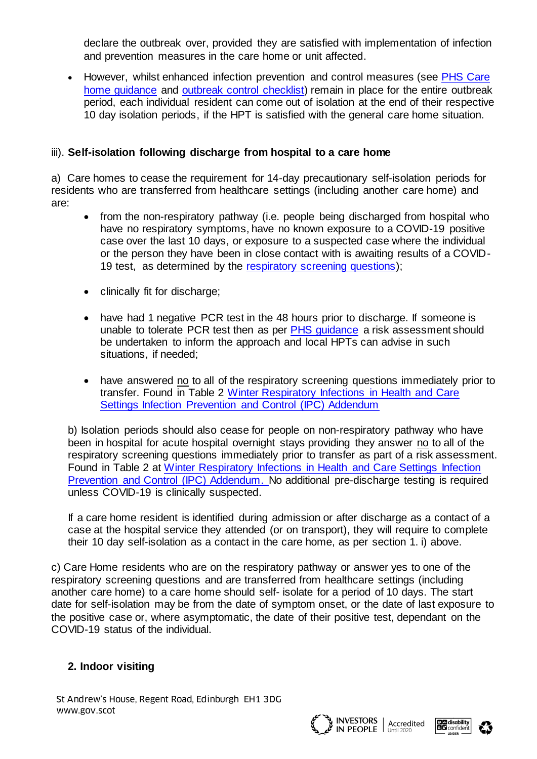declare the outbreak over, provided they are satisfied with implementation of infection and prevention measures in the care home or unit affected.

• However, whilst enhanced infection prevention and control measures (see PHS Care home [guidance](https://publichealthscotland.scot/publications/covid-19-information-and-guidance-for-care-home-settings-adults-and-older-people/covid-19-information-and-guidance-for-care-home-settings-adults-and-older-people-version-26/) and [outbreak control checklist\)](https://publichealthscotland.scot/publications/covid-19-information-and-guidance-for-care-home-settings-adults-and-older-people/covid-19-information-and-guidance-for-care-home-settings-adults-and-older-people-version-26/) remain in place for the entire outbreak period, each individual resident can come out of isolation at the end of their respective 10 day isolation periods, if the HPT is satisfied with the general care home situation.

## iii). **Self-isolation following discharge from hospital to a care home**

a) Care homes to cease the requirement for 14-day precautionary self-isolation periods for residents who are transferred from healthcare settings (including another care home) and are:

- from the non-respiratory pathway (i.e. people being discharged from hospital who have no respiratory symptoms, have no known exposure to a COVID-19 positive case over the last 10 days, or exposure to a suspected case where the individual or the person they have been in close contact with is awaiting results of a COVID-19 test, as determined by the [respiratory screening questions\)](https://www.nipcm.hps.scot.nhs.uk/media/1785/2022-1-17-respiratory-screening-questions.pdf);
- clinically fit for discharge;
- have had 1 negative PCR test in the 48 hours prior to discharge. If someone is unable to tolerate PCR test then as per [PHS guidance](https://publichealthscotland.scot/publications/covid-19-information-and-guidance-for-care-home-settings-adults-and-older-people/covid-19-information-and-guidance-for-care-home-settings-adults-and-older-people-version-26/) a risk assessment should be undertaken to inform the approach and local HPTs can advise in such situations, if needed;
- have answered no to all of the respiratory screening questions immediately prior to transfer. Found in Table 2 [Winter Respiratory Infections in Health and Care](https://www.nipcm.scot.nhs.uk/winter-2122-respiratory-infections-in-health-and-care-settings-infection-prevention-and-control-ipc-addendum/#a3059)  [Settings Infection Prevention and Control \(IPC\) Addendum](https://www.nipcm.scot.nhs.uk/winter-2122-respiratory-infections-in-health-and-care-settings-infection-prevention-and-control-ipc-addendum/#a3059)

b) Isolation periods should also cease for people on non-respiratory pathway who have been in hospital for acute hospital overnight stays providing they answer no to all of the respiratory screening questions immediately prior to transfer as part of a risk assessment. Found in Table 2 at [Winter Respiratory Infections in Health and Care Settings Infection](https://www.nipcm.scot.nhs.uk/winter-2122-respiratory-infections-in-health-and-care-settings-infection-prevention-and-control-ipc-addendum/#a3059)  [Prevention and Control \(IPC\) Addendum.](https://www.nipcm.scot.nhs.uk/winter-2122-respiratory-infections-in-health-and-care-settings-infection-prevention-and-control-ipc-addendum/#a3059) No additional pre-discharge testing is required unless COVID-19 is clinically suspected.

If a care home resident is identified during admission or after discharge as a contact of a case at the hospital service they attended (or on transport), they will require to complete their 10 day self-isolation as a contact in the care home, as per section 1. i) above.

c) Care Home residents who are on the respiratory pathway or answer yes to one of the respiratory screening questions and are transferred from healthcare settings (including another care home) to a care home should self- isolate for a period of 10 days. The start date for self-isolation may be from the date of symptom onset, or the date of last exposure to the positive case or, where asymptomatic, the date of their positive test, dependant on the COVID-19 status of the individual.

## **2. Indoor visiting**

St Andrew's House, Regent Road, Edinburgh EH1 3DG www.gov.scot



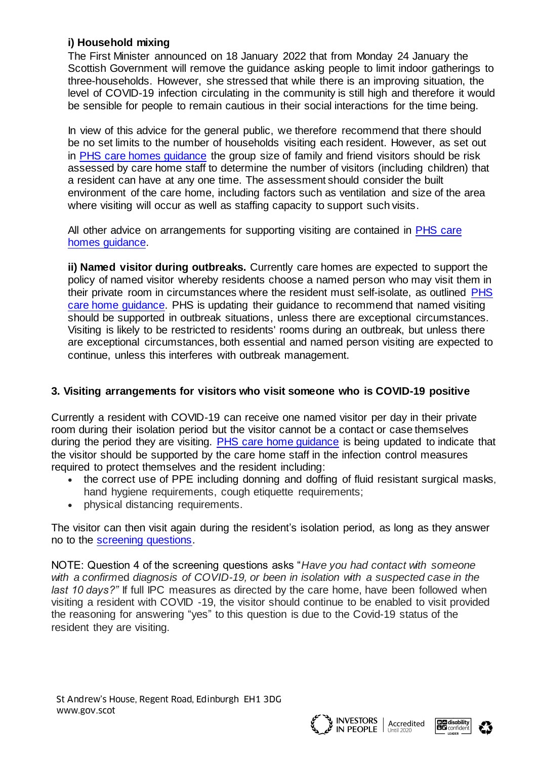# **i) Household mixing**

The First Minister announced on 18 January 2022 that from Monday 24 January the Scottish Government will remove the guidance asking people to limit indoor gatherings to three-households. However, she stressed that while there is an improving situation, the level of COVID-19 infection circulating in the community is still high and therefore it would be sensible for people to remain cautious in their social interactions for the time being.

In view of this advice for the general public, we therefore recommend that there should be no set limits to the number of households visiting each resident. However, as set out in [PHS care homes guidance](file:///C:/Users/u204321/Objective/Director/Cache/erdm.scotland.gov.uk%208443%20uA3469/A36163722/COVID-19%20-%20information%20and%20guidance%20for%20care%20home%20settings%20(adults%20and%20older%20people)) the group size of family and friend visitors should be risk assessed by care home staff to determine the number of visitors (including children) that a resident can have at any one time. The assessment should consider the built environment of the care home, including factors such as ventilation and size of the area where visiting will occur as well as staffing capacity to support such visits.

All other advice on arrangements for supporting visiting are contained in [PHS care](file:///C:/Users/u204321/Objective/Director/Cache/erdm.scotland.gov.uk%208443%20uA3469/A36163722/COVID-19%20-%20information%20and%20guidance%20for%20care%20home%20settings%20(adults%20and%20older%20people))  [homes guidance.](file:///C:/Users/u204321/Objective/Director/Cache/erdm.scotland.gov.uk%208443%20uA3469/A36163722/COVID-19%20-%20information%20and%20guidance%20for%20care%20home%20settings%20(adults%20and%20older%20people))

**ii) Named visitor during outbreaks.** Currently care homes are expected to support the policy of named visitor whereby residents choose a named person who may visit them in their private room in circumstances where the resident must self-isolate, as outlined [PHS](file:///C:/Users/u204321/Objective/Director/Cache/erdm.scotland.gov.uk%208443%20uA3469/A36163722/COVID-19%20-%20information%20and%20guidance%20for%20care%20home%20settings%20(adults%20and%20older%20people))  [care home guidance.](file:///C:/Users/u204321/Objective/Director/Cache/erdm.scotland.gov.uk%208443%20uA3469/A36163722/COVID-19%20-%20information%20and%20guidance%20for%20care%20home%20settings%20(adults%20and%20older%20people)) PHS is updating their guidance to recommend that named visiting should be supported in outbreak situations, unless there are exceptional circumstances. Visiting is likely to be restricted to residents' rooms during an outbreak, but unless there are exceptional circumstances, both essential and named person visiting are expected to continue, unless this interferes with outbreak management.

## **3. Visiting arrangements for visitors who visit someone who is COVID-19 positive**

Currently a resident with COVID-19 can receive one named visitor per day in their private room during their isolation period but the visitor cannot be a contact or case themselves during the period they are visiting. [PHS care home guidance](file:///C:/Users/u204321/Objective/Director/Cache/erdm.scotland.gov.uk%208443%20uA3469/A36163722/COVID-19%20-%20information%20and%20guidance%20for%20care%20home%20settings%20(adults%20and%20older%20people)) is being updated to indicate that the visitor should be supported by the care home staff in the infection control measures required to protect themselves and the resident including:

- the correct use of PPE including donning and doffing of fluid resistant surgical masks, hand hygiene requirements, cough etiquette requirements;
- physical distancing requirements.

The visitor can then visit again during the resident's isolation period, as long as they answer no to the [screening questions.](https://www.nipcm.scot.nhs.uk/winter-2122-respiratory-infections-in-health-and-care-settings-infection-prevention-and-control-ipc-addendum/#a3059)

NOTE: Question 4 of the screening questions asks "*Have you had contact with someone with a confirm*ed *diagnosis of COVID-19, or been in isolation with a suspected case in the last 10 days?"* If full IPC measures as directed by the care home, have been followed when visiting a resident with COVID -19, the visitor should continue to be enabled to visit provided the reasoning for answering "yes" to this question is due to the Covid-19 status of the resident they are visiting.